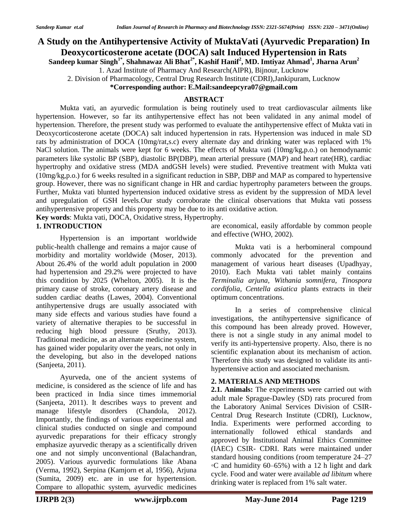# **A Study on the Antihypertensive Activity of MuktaVati (Ayurvedic Preparation) In Deoxycorticosterone acetate (DOCA) salt Induced Hypertension in Rats**

**Sandeep kumar Singh1\*, Shahnawaz Ali Bhat2\*, Kashif Hanif<sup>2</sup> , MD. Imtiyaz Ahmad<sup>1</sup> , Jharna Arun<sup>2</sup>**

1. Azad Institute of Pharmacy And Research(AIPR), Bijnour, Lucknow

2. Division of Pharmacology, Central Drug Research Institute (CDRI),Jankipuram, Lucknow

**\*Corresponding author: E.Mail:sandeepcyra07@gmail.com**

## **ABSTRACT**

Mukta vati, an ayurvedic formulation is being routinely used to treat cardiovascular ailments like hypertension. However, so far its antihypertensive effect has not been validated in any animal model of hypertension. Therefore, the present study was performed to evaluate the antihypertensive effect of Mukta vati in Deoxycorticosterone acetate (DOCA) salt induced hypertension in rats. Hypertension was induced in male SD rats by administration of DOCA (10mg/rat,s.c) every alternate day and drinking water was replaced with 1% NaCl solution. The animals were kept for 6 weeks. The effects of Mukta vati (10mg/kg,p.o.) on hemodynamic parameters like systolic BP (SBP), diastolic BP(DBP), mean arterial pressure (MAP) and heart rate(HR), cardiac hypertrophy and oxidative stress (MDA andGSH levels) were studied. Preventive treatment with Mukta vati (10mg/kg,p.o.) for 6 weeks resulted in a significant reduction in SBP, DBP and MAP as compared to hypertensive group. However, there was no significant change in HR and cardiac hypertrophy parameters between the groups. Further, Mukta vati blunted hypertension induced oxidative stress as evident by the suppression of MDA level and upregulation of GSH levels.Our study corroborate the clinical observations that Mukta vati possess antihypertensive property and this property may be due to its anti oxidative action.

**Key words**: Mukta vati, DOCA, Oxidative stress, Hypertrophy.

#### **1. INTRODUCTION**

Hypertension is an important worldwide public-health challenge and remains a major cause of morbidity and mortality worldwide (Moser, 2013). About 26.4% of the world adult population in 2000 had hypertension and 29.2% were projected to have this condition by 2025 (Whelton, 2005). It is the primary cause of stroke, coronary artery disease and sudden cardiac deaths (Lawes, 2004). Conventional antihypertensive drugs are usually associated with many side effects and various studies have found a variety of alternative therapies to be successful in reducing high blood pressure (Sruthy, 2013). Traditional medicine, as an alternate medicine system, has gained wider popularity over the years, not only in the developing, but also in the developed nations (Sanjeeta, 2011).

Ayurveda, one of the ancient systems of medicine, is considered as the science of life and has been practiced in India since times immemorial (Sanjeeta, 2011). It describes ways to prevent and manage lifestyle disorders (Chandola, 2012). Importantly, the findings of various experimental and clinical studies conducted on single and compound ayurvedic preparations for their efficacy strongly emphasize ayurvedic therapy as a scientifically driven one and not simply unconventional (Balachandran, 2005). Various ayurvedic formulations like Abana (Verma, 1992), Serpina (Kamjorn et al, 1956), Arjuna (Sumita, 2009) etc. are in use for hypertension. Compare to allopathic system, ayurvedic medicines are economical, easily affordable by common people and effective (WHO, 2002).

Mukta vati is a herbomineral compound commonly advocated for the prevention and management of various heart diseases (Upadhyay, 2010). Each Mukta vati tablet mainly contains *Terminalia arjuna, Withania somnifera, Tinospora cordifolia, Centella asiatica* plants extracts in their optimum concentrations.

In a series of comprehensive clinical investigations, the antihypertensive significance of this compound has been already proved. However, there is not a single study in any animal model to verify its anti-hypertensive property. Also, there is no scientific explanation about its mechanism of action. Therefore this study was designed to validate its antihypertensive action and associated mechanism.

### **2. MATERIALS AND METHODS**

**2.1. Animals:** The experiments were carried out with adult male Sprague-Dawley (SD) rats procured from the Laboratory Animal Services Division of CSIR-Central Drug Research Institute (CDRI), Lucknow, India. Experiments were performed according to internationally followed ethical standards and approved by Institutional Animal Ethics Committee (IAEC) CSIR- CDRI. Rats were maintained under standard housing conditions (room temperature 24–27 ◦C and humidity 60–65%) with a 12 h light and dark cycle. Food and water were available *ad libitum* where drinking water is replaced from 1% salt water.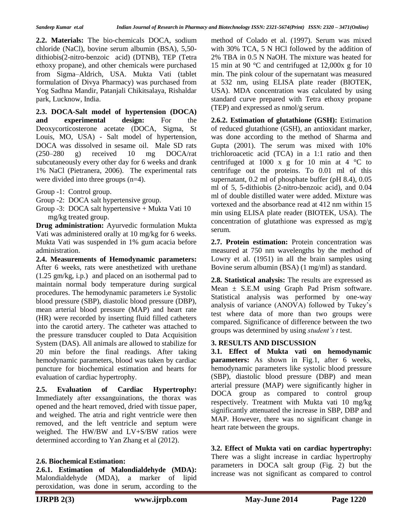**2.2. Materials:** The bio-chemicals DOCA, sodium chloride (NaCl), bovine serum albumin (BSA), 5,50 dithiobis(2-nitro-benzoic acid) (DTNB), TEP (Tetra ethoxy propane), and other chemicals were purchased from Sigma–Aldrich, USA. Mukta Vati (tablet formulation of Divya Pharmacy) was purchased from Yog Sadhna Mandir, Patanjali Chikitsalaya, Rishaldar park, Lucknow, India.

**2.3. DOCA-Salt model of hypertension (DOCA) and experimental design:** For the Deoxycorticosterone acetate (DOCA, Sigma, St Louis, MO, USA) - Salt model of hypertension, DOCA was dissolved in sesame oil. Male SD rats (250–280 g) received 10 mg DOCA/rat subcutaneously every other day for 6 weeks and drank 1% NaCl (Pietranera, 2006). The experimental rats were divided into three groups (n=4).

Group -1: Control group.

- Group -2: DOCA salt hypertensive group.
- Group -3: DOCA salt hypertensive + Mukta Vati 10 mg/kg treated group.

**Drug administration:** Ayurvedic formulation Mukta Vati was administered orally at 10 mg/kg for 6 weeks. Mukta Vati was suspended in 1% gum acacia before administration.

**2.4. Measurements of Hemodynamic parameters:**  After 6 weeks, rats were anesthetized with urethane (1.25 gm/kg, i.p.) and placed on an isothermal pad to maintain normal body temperature during surgical procedures. The hemodynamic parameters i.e Systolic blood pressure (SBP), diastolic blood pressure (DBP), mean arterial blood pressure (MAP) and heart rate (HR) were recorded by inserting fluid filled catheters into the carotid artery. The catheter was attached to the pressure transducer coupled to Data Acquisition System (DAS). All animals are allowed to stabilize for 20 min before the final readings. After taking hemodynamic parameters, blood was taken by cardiac puncture for biochemical estimation and hearts for evaluation of cardiac hypertrophy.

**2.5. Evaluation of Cardiac Hypertrophy:**  Immediately after exsanguinations, the thorax was opened and the heart removed, dried with tissue paper, and weighed. The atria and right ventricle were then removed, and the left ventricle and septum were weighed. The HW/BW and LV+S/BW ratios were determined according to Yan Zhang et al (2012).

### **2.6. Biochemical Estimation:**

**2.6.1. Estimation of Malondialdehyde (MDA):**  Malondialdehyde (MDA), a marker of lipid peroxidation, was done in serum, according to the method of Colado et al. (1997). Serum was mixed with 30% TCA, 5 N HCl followed by the addition of 2% TBA in 0.5 N NaOH. The mixture was heated for 15 min at 90 °C and centrifuged at 12,000x g for 10 min. The pink colour of the supernatant was measured at 532 nm, using ELISA plate reader (BIOTEK, USA). MDA concentration was calculated by using standard curve prepared with Tetra ethoxy propane (TEP) and expressed as nmol/g serum.

**2.6.2. Estimation of glutathione (GSH):** Estimation of reduced glutathione (GSH), an antioxidant marker, was done according to the method of Sharma and Gupta (2001). The serum was mixed with 10% trichloroacetic acid (TCA) in a 1:1 ratio and then centrifuged at 1000 x g for 10 min at 4  $\degree$ C to centrifuge out the proteins. To 0.01 ml of this supernatant, 0.2 ml of phosphate buffer (pH 8.4), 0.05 ml of 5, 5-dithiobis (2-nitro-benzoic acid), and 0.04 ml of double distilled water were added. Mixture was vortexed and the absorbance read at 412 nm within 15 min using ELISA plate reader (BIOTEK, USA). The concentration of glutathione was expressed as mg/g serum.

**2.7. Protein estimation:** Protein concentration was measured at 750 nm wavelengths by the method of Lowry et al. (1951) in all the brain samples using Bovine serum albumin (BSA) (1 mg/ml) as standard.

**2.8. Statistical analysis:** The results are expressed as Mean  $\pm$  S.E.M using Graph Pad Prism software. Statistical analysis was performed by one-way analysis of variance (ANOVA) followed by Tukey's test where data of more than two groups were compared. Significance of difference between the two groups was determined by using *student's t* test.

## **3. RESULTS AND DISCUSSION**

**3.1. Effect of Mukta vati on hemodynamic parameters:** As shown in Fig.1, after 6 weeks, hemodynamic parameters like systolic blood pressure (SBP), diastolic blood pressure (DBP) and mean arterial pressure (MAP) were significantly higher in DOCA group as compared to control group respectively. Treatment with Mukta vati 10 mg/kg significantly attenuated the increase in SBP, DBP and MAP. However, there was no significant change in heart rate between the groups.

**3.2. Effect of Mukta vati on cardiac hypertrophy:**  There was a slight increase in cardiac hypertrophy parameters in DOCA salt group (Fig. 2) but the increase was not significant as compared to control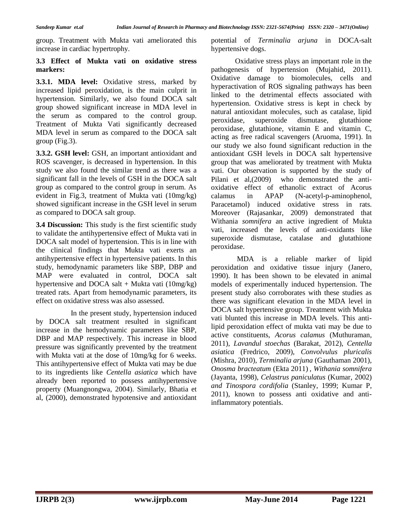group. Treatment with Mukta vati ameliorated this increase in cardiac hypertrophy.

#### **3.3 Effect of Mukta vati on oxidative stress markers:**

**3.3.1. MDA level:** Oxidative stress, marked by increased lipid peroxidation, is the main culprit in hypertension. Similarly, we also found DOCA salt group showed significant increase in MDA level in the serum as compared to the control group. Treatment of Mukta Vati significantly decreased MDA level in serum as compared to the DOCA salt group (Fig.3).

**3.3.2. GSH level:** GSH, an important antioxidant and ROS scavenger, is decreased in hypertension. In this study we also found the similar trend as there was a significant fall in the levels of GSH in the DOCA salt group as compared to the control group in serum. As evident in Fig.3, treatment of Mukta vati (10mg/kg) showed significant increase in the GSH level in serum as compared to DOCA salt group.

**3.4 Discussion:** This study is the first scientific study to validate the antihypertensive effect of Mukta vati in DOCA salt model of hypertension. This is in line with the clinical findings that Mukta vati exerts an antihypertensive effect in hypertensive patients. In this study, hemodynamic parameters like SBP, DBP and MAP were evaluated in control, DOCA salt hypertensive and DOCA salt + Mukta vati  $(10mg/kg)$ treated rats. Apart from hemodynamic parameters, its effect on oxidative stress was also assessed.

 In the present study, hypertension induced by DOCA salt treatment resulted in significant increase in the hemodynamic parameters like SBP, DBP and MAP respectively. This increase in blood pressure was significantly prevented by the treatment with Mukta vati at the dose of 10mg/kg for 6 weeks. This antihypertensive effect of Mukta vati may be due to its ingredients like *Centella asiatica* which have already been reported to possess antihypertensive property (Muangnongwa, 2004). Similarly, Bhatia et al, (2000), demonstrated hypotensive and antioxidant potential of *Terminalia arjuna* in DOCA-salt hypertensive dogs.

Oxidative stress plays an important role in the pathogenesis of hypertension (Mujahid, 2011). Oxidative damage to biomolecules, cells and hyperactivation of ROS signaling pathways has been linked to the detrimental effects associated with hypertension. Oxidative stress is kept in check by natural antioxidant molecules, such as catalase, lipid peroxidase, superoxide dismutase, glutathione peroxidase, glutathione, vitamin E and vitamin C, acting as free radical scavengers (Aruoma, 1991). In our study we also found significant reduction in the antioxidant GSH levels in DOCA salt hypertensive group that was ameliorated by treatment with Mukta vati. Our observation is supported by the study of Pilani et al,(2009) who demonstrated the antioxidative effect of ethanolic extract of Acorus calamus in APAP (N-acetyl-p-aminophenol, Paracetamol) induced oxidative stress in rats. Moreover (Rajasankar, 2009) demonstrated that Withania *somnifera* an active ingredient of Mukta vati, increased the levels of anti-oxidants like superoxide dismutase, catalase and glutathione peroxidase.

MDA is a reliable marker of lipid peroxidation and oxidative tissue injury (Janero, 1990). It has been shown to be elevated in animal models of experimentally induced hypertension. The present study also corroborates with these studies as there was significant elevation in the MDA level in DOCA salt hypertensive group. Treatment with Mukta vati blunted this increase in MDA levels. This antilipid peroxidation effect of mukta vati may be due to active constituents, *Acorus calamus* (Muthuraman, 2011)*, Lavandul stoechas* (Barakat, 2012), *Centella asiatica* (Fredrico, 2009), *Convolvulus pluricalis* (Mishra, 2010), *Terminalia arjuna* (Gauthaman 2001), *Onosma bracteatum* (Ekta 2011) *, Withania somnifera* (Jayanta, 1998), *Celastrus paniculatus* (Kumar, 2002) *and Tinospora cordifolia* (Stanley, 1999; Kumar P, 2011), known to possess anti oxidative and antiinflammatory potentials.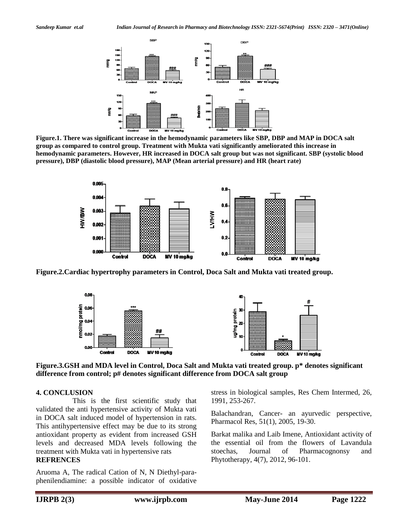

**Figure.1. There was significant increase in the hemodynamic parameters like SBP, DBP and MAP in DOCA salt group as compared to control group. Treatment with Mukta vati significantly ameliorated this increase in hemodynamic parameters. However, HR increased in DOCA salt group but was not significant. SBP (systolic blood pressure), DBP (diastolic blood pressure), MAP (Mean arterial pressure) and HR (heart rate)**



**Figure.2.Cardiac hypertrophy parameters in Control, Doca Salt and Mukta vati treated group.**



**Figure.3.GSH and MDA level in Control, Doca Salt and Mukta vati treated group. p\* denotes significant difference from control; p# denotes significant difference from DOCA salt group**

#### **4. CONCLUSION**

 This is the first scientific study that validated the anti hypertensive activity of Mukta vati in DOCA salt induced model of hypertension in rats. This antihypertensive effect may be due to its strong antioxidant property as evident from increased GSH levels and decreased MDA levels following the treatment with Mukta vati in hypertensive rats **REFRENCES**

Aruoma A, The radical Cation of N, N Diethyl-paraphenilendiamine: a possible indicator of oxidative stress in biological samples, Res Chem Intermed, 26, 1991, 253-267.

Balachandran, Cancer- an ayurvedic perspective, Pharmacol Res, 51(1), 2005, 19-30.

Barkat malika and Laib Imene, Antioxidant activity of the essential oil from the flowers of Lavandula stoechas, Journal of Pharmacognonsy and Phytotherapy, 4(7), 2012, 96-101.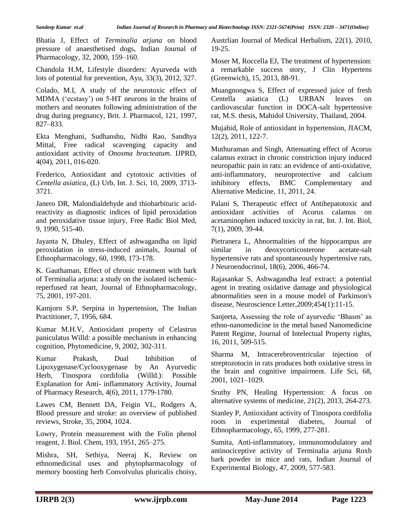Bhatia J, Effect of *Terminalia arjuna* on blood pressure of anaesthetised dogs, Indian Journal of Pharmacology, 32, 2000, 159–160.

Chandola H.M, Lifestyle disorders: Ayurveda with lots of potential for prevention, Ayu, 33(3), 2012, 327.

Colado, M.I, A study of the neurotoxic effect of MDMA ('ecstasy') on 5-HT neurons in the brains of mothers and neonates following administration of the drug during pregnancy, Brit. J. Pharmacol, 121, 1997, 827–833.

Ekta Menghani, Sudhanshu, Nidhi Rao, Sandhya Mittal, Free radical scavenging capacity and antioxidant activity of *Onosma bracteatum*. IJPRD, 4(04), 2011, 016-020.

Frederico, Antioxidant and cytotoxic activities of *Centella asiatica*, (L) Urb, Int. J. Sci*,* 10, 2009, 3713- 3721.

Janero DR, Malondialdehyde and thiobarbituric acidreactivity as diagnostic indices of lipid peroxidation and peroxidative tissue injury, Free Radic Biol Med, 9, 1990, 515-40.

Jayanta N, Dhuley, Effect of ashwagandha on lipid peroxidation in stress-induced animals, Journal of Ethnopharmacology, 60, 1998, 173-178.

K. Gauthaman, Effect of chronic treatment with bark of Terminalia arjuna: a study on the isolated ischemicreperfused rat heart, Journal of Ethnopharmacology, 75, 2001, 197-201.

Kamjorn S.P, Serpina in hypertension, The Indian Practitioner, 7, 1956, 684.

Kumar M.H.V, Antioxidant property of Celastrus paniculatus Willd: a possible mechanism in enhancing cognition, Phytomedicine, 9, 2002, 302-311.

Kumar Prakash, Dual Inhibition of Lipoxygenase/Cyclooxygenase by An Ayurvedic Herb, Tinospora cordifolia (Willd.): Possible Explanation for Anti- inflammatory Activity, Journal of Pharmacy Research, 4(6), 2011, 1779-1780.

Lawes CM, Bennett DA, Feigin VL, Rodgers A, Blood pressure and stroke: an overview of published reviews, Stroke, 35, 2004, 1024.

Lowry, Protein measurement with the Folin phenol reagent, J. Biol. Chem, 193, 1951, 265–275.

Mishra, SH, Sethiya, Neeraj K, Review on ethnomedicinal uses and phytopharmacology of memory boosting herb Convolvulus pluricalis choisy, Austrlian Journal of Medical Herbalism, 22(1), 2010, 19-25.

Moser M, Roccella EJ, The treatment of hypertension: a remarkable success story, J Clin Hypertens (Greenwich), 15, 2013, 88-91.

Muangnongwa S, Effect of expressed juice of fresh Centella asiatica (L) URBAN leaves on cardiovascular function in DOCA-salt hypertensive rat, M.S. thesis, Mahidol University, Thailand, 2004.

Mujahid, Role of antioxidant in hypertension, JIACM, 12(2), 2011, 122-7.

Muthuraman and Singh, Attenuating effect of Acorus calamus extract in chronic constriction injury induced neuropathic pain in rats: an evidence of anti-oxidative, anti-inflammatory, neuroprotective and calcium inhibitory effects, BMC Complementary and Alternative Medicine, 11, 2011, 24.

Palani S, Therapeutic effect of Antihepatotoxic and antioxidant activities of Acorus calamus on acetaminophen induced toxicity in rat, Int. J. Int. Biol, 7(1), 2009, 39-44.

Pietranera L, Abnormalities of the hippocampus are similar in deoxycorticosterone acetate-salt hypertensive rats and spontaneously hypertensive rats, J Neuroendocrinol, 18(6), 2006, 466-74.

Rajasankar S, Ashwagandha leaf extract: a potential agent in treating oxidative damage and physiological abnormalities seen in a mouse model of Parkinson's disease, Neuroscience Letter,2009;454(1):11-15.

Sanjeeta, Assessing the role of ayurvedic 'Bhasm' as ethno-nanomedicine in the metal based Nanomedicine Patent Regime, Journal of Intelectual Property rights, 16, 2011, 509-515.

Sharma M, Intracerebroventricular injection of streptozotocin in rats produces both oxidative stress in the brain and cognitive impairment. Life Sci, 68, 2001, 1021–1029.

Sruthy PN, Healing Hypertension: A focus on alternative systems of medicine, 21(2), 2013, 264-273.

Stanley P, Antioxidant activity of Tinospora cordifolia roots in experimental diabetes, Journal of Ethnopharmacology, 65, 1999, 277-281.

Sumita, Anti-inflammatory, immunomodulatory and antinociceptive activity of Terminalia arjuna Roxb bark powder in mice and rats, Indian Journal of Experimental Biology, 47, 2009, 577-583.